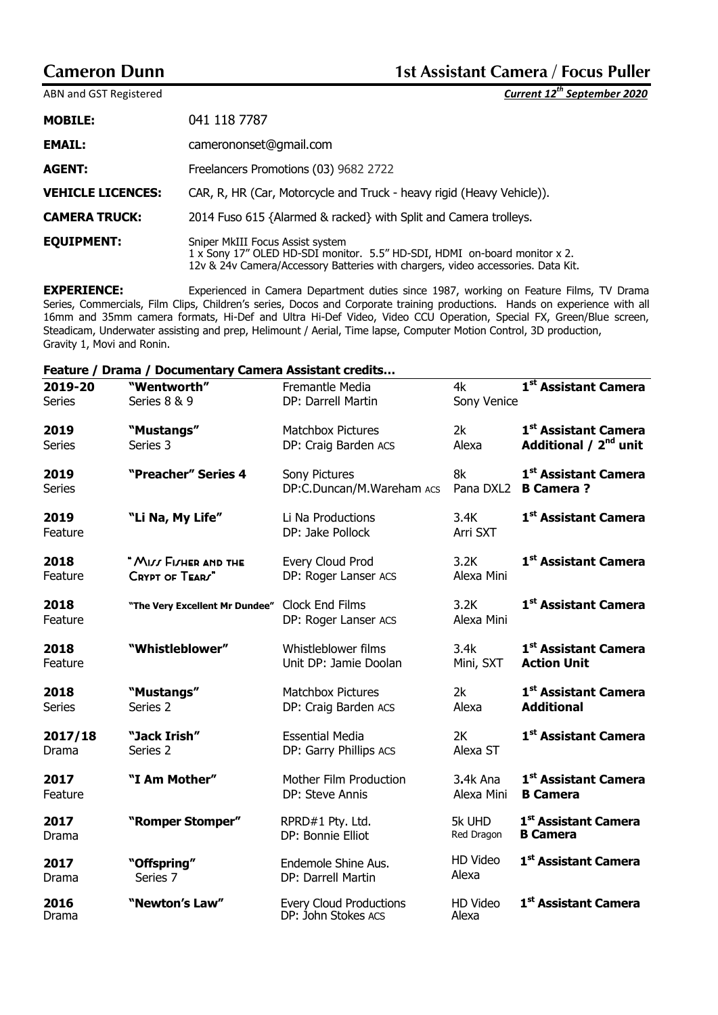$ABN$  and GST Registered

|  |  | Current 12 <sup>th</sup> September 2020 |
|--|--|-----------------------------------------|
|--|--|-----------------------------------------|

| <b>MOBILE:</b>           | 041 118 7787                                                                                                                                                                                      |
|--------------------------|---------------------------------------------------------------------------------------------------------------------------------------------------------------------------------------------------|
| <b>EMAIL:</b>            | camerononset@gmail.com                                                                                                                                                                            |
| <b>AGENT:</b>            | Freelancers Promotions (03) 9682 2722                                                                                                                                                             |
| <b>VEHICLE LICENCES:</b> | CAR, R, HR (Car, Motorcycle and Truck - heavy rigid (Heavy Vehicle)).                                                                                                                             |
| <b>CAMERA TRUCK:</b>     | 2014 Fuso 615 {Alarmed & racked} with Split and Camera trolleys.                                                                                                                                  |
| <b>EQUIPMENT:</b>        | Sniper MkIII Focus Assist system<br>1 x Sony 17" OLED HD-SDI monitor. 5.5" HD-SDI, HDMI on-board monitor x 2.<br>12v & 24v Camera/Accessory Batteries with chargers, video accessories. Data Kit. |

**EXPERIENCE:** Experienced in Camera Department duties since 1987, working on Feature Films, TV Drama Series, Commercials, Film Clips, Children's series, Docos and Corporate training productions. Hands on experience with all 16mm and 35mm camera formats, Hi-Def and Ultra Hi-Def Video, Video CCU Operation, Special FX, Green/Blue screen, Steadicam, Underwater assisting and prep, Helimount / Aerial, Time lapse, Computer Motion Control, 3D production, Gravity 1, Movi and Ronin.

### **Feature / Drama / Documentary Camera Assistant credits…**

| 2019-20       | "Wentworth"                    | Fremantle Media                                       | 4k                | 1st Assistant Camera              |
|---------------|--------------------------------|-------------------------------------------------------|-------------------|-----------------------------------|
| <b>Series</b> | Series 8 & 9                   | DP: Darrell Martin                                    | Sony Venice       |                                   |
| 2019          | "Mustangs"                     | <b>Matchbox Pictures</b>                              | 2k                | 1 <sup>st</sup> Assistant Camera  |
| <b>Series</b> | Series 3                       | DP: Craig Barden ACS                                  | Alexa             | Additional / 2 <sup>nd</sup> unit |
| 2019          | "Preacher" Series 4            | Sony Pictures                                         | 8k                | 1 <sup>st</sup> Assistant Camera  |
| <b>Series</b> |                                | DP:C.Duncan/M.Wareham ACS                             |                   | Pana DXL2 B Camera?               |
| 2019          | "Li Na, My Life"               | Li Na Productions                                     | 3.4K              | 1 <sup>st</sup> Assistant Camera  |
| Feature       |                                | DP: Jake Pollock                                      | Arri SXT          |                                   |
| 2018          | " MILL FILHER AND THE          | Every Cloud Prod                                      | 3.2K              | 1 <sup>st</sup> Assistant Camera  |
| Feature       | CRYPT OF TEARS"                | DP: Roger Lanser ACS                                  | Alexa Mini        |                                   |
| 2018          | "The Very Excellent Mr Dundee" | Clock End Films                                       | 3.2K              | 1 <sup>st</sup> Assistant Camera  |
| Feature       |                                | DP: Roger Lanser ACS                                  | Alexa Mini        |                                   |
| 2018          | "Whistleblower"                | Whistleblower films                                   | 3.4k              | 1 <sup>st</sup> Assistant Camera  |
| Feature       |                                | Unit DP: Jamie Doolan                                 | Mini, SXT         | <b>Action Unit</b>                |
| 2018          | "Mustangs"                     | <b>Matchbox Pictures</b>                              | 2k                | 1 <sup>st</sup> Assistant Camera  |
| <b>Series</b> | Series 2                       | DP: Craig Barden ACS                                  | Alexa             | <b>Additional</b>                 |
| 2017/18       | "Jack Irish"                   | <b>Essential Media</b>                                | 2K                | 1 <sup>st</sup> Assistant Camera  |
| Drama         | Series 2                       | DP: Garry Phillips ACS                                | Alexa ST          |                                   |
| 2017          | "I Am Mother"                  | Mother Film Production                                | 3.4k Ana          | 1 <sup>st</sup> Assistant Camera  |
| Feature       |                                | DP: Steve Annis                                       | Alexa Mini        | <b>B</b> Camera                   |
| 2017          | "Romper Stomper"               | RPRD#1 Pty. Ltd.                                      | 5k UHD            | 1 <sup>st</sup> Assistant Camera  |
| Drama         |                                | DP: Bonnie Elliot                                     | Red Dragon        | <b>B</b> Camera                   |
| 2017          | "Offspring"                    | Endemole Shine Aus.                                   | HD Video<br>Alexa | 1 <sup>st</sup> Assistant Camera  |
| Drama         | Series 7                       | DP: Darrell Martin                                    |                   |                                   |
| 2016<br>Drama | "Newton's Law"                 | <b>Every Cloud Productions</b><br>DP: John Stokes ACS | HD Video<br>Alexa | 1st Assistant Camera              |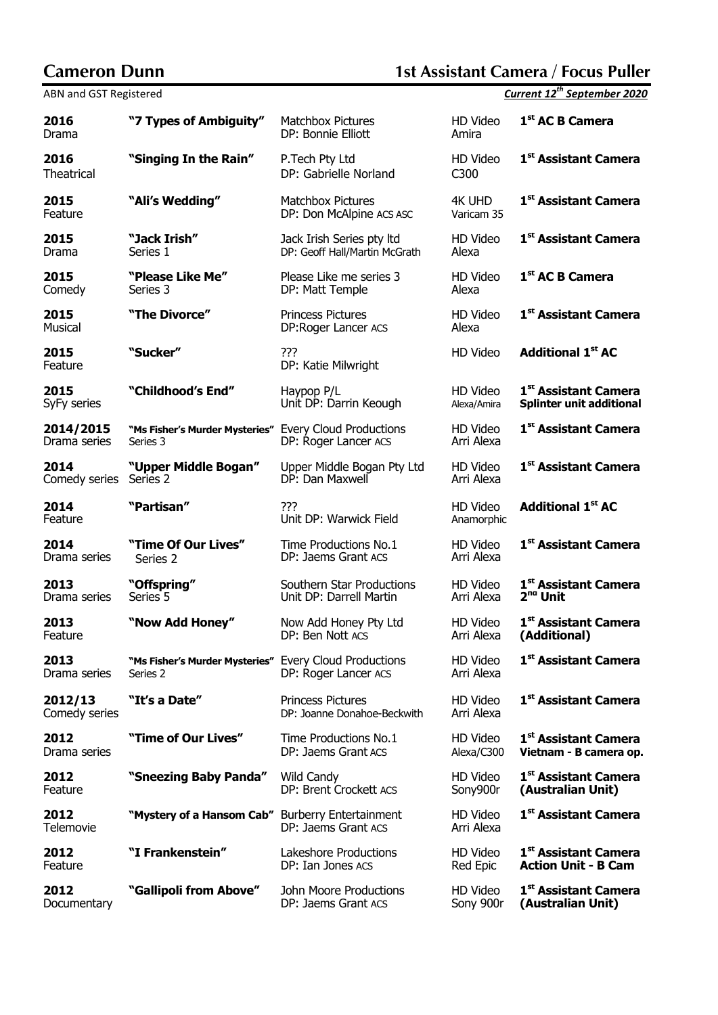## **Cameron Dunn 1st Assistant Camera / Focus Puller**

| ADIY and OST RESISTERED   |                                                                    |                                                         |                        | UMII UMI 16<br>JUNIUIINUI LULU   |
|---------------------------|--------------------------------------------------------------------|---------------------------------------------------------|------------------------|----------------------------------|
| 2016<br>Drama             | "7 Types of Ambiguity"                                             | <b>Matchbox Pictures</b><br>DP: Bonnie Elliott          | HD Video<br>Amira      | 1 <sup>st</sup> AC B Camera      |
| 2016<br><b>Theatrical</b> | "Singing In the Rain"                                              | P. Tech Pty Ltd<br>DP: Gabrielle Norland                | HD Video<br>C300       | 1 <sup>st</sup> Assistant Camera |
| 2015<br>Feature           | "Ali's Wedding"                                                    | <b>Matchbox Pictures</b><br>DP: Don McAlpine ACS ASC    | 4K UHD<br>Varicam 35   | 1 <sup>st</sup> Assistant Camera |
| 2015                      | "Jack Irish"                                                       | Jack Irish Series pty Itd                               | HD Video               | 1 <sup>st</sup> Assistant Camera |
| Drama                     | Series 1                                                           | DP: Geoff Hall/Martin McGrath                           | Alexa                  |                                  |
| 2015                      | "Please Like Me"                                                   | Please Like me series 3                                 | HD Video               | 1 <sup>st</sup> AC B Camera      |
| Comedy                    | Series 3                                                           | DP: Matt Temple                                         | Alexa                  |                                  |
| 2015<br>Musical           | "The Divorce"                                                      | <b>Princess Pictures</b><br>DP:Roger Lancer ACS         | HD Video<br>Alexa      | 1 <sup>st</sup> Assistant Camera |
| 2015<br>Feature           | "Sucker"                                                           | ???<br>DP: Katie Milwright                              | HD Video               | <b>Additional 1st AC</b>         |
| 2015                      | "Childhood's End"                                                  | Haypop P/L                                              | HD Video               | 1 <sup>st</sup> Assistant Camera |
| SyFy series               |                                                                    | Unit DP: Darrin Keough                                  | Alexa/Amira            | <b>Splinter unit additional</b>  |
| 2014/2015<br>Drama series | "Ms Fisher's Murder Mysteries" Every Cloud Productions<br>Series 3 | DP: Roger Lancer ACS                                    | HD Video<br>Arri Alexa | 1 <sup>st</sup> Assistant Camera |
| 2014                      | "Upper Middle Bogan"                                               | Upper Middle Bogan Pty Ltd                              | HD Video               | 1 <sup>st</sup> Assistant Camera |
| Comedy series             | Series 2                                                           | DP: Dan Maxwell                                         | Arri Alexa             |                                  |
| 2014<br>Feature           | "Partisan"                                                         | ???<br>Unit DP: Warwick Field                           | HD Video<br>Anamorphic | <b>Additional 1st AC</b>         |
| 2014                      | "Time Of Our Lives"                                                | Time Productions No.1                                   | HD Video               | 1 <sup>st</sup> Assistant Camera |
| Drama series              | Series 2                                                           | DP: Jaems Grant ACS                                     | Arri Alexa             |                                  |
| 2013                      | "Offspring"                                                        | Southern Star Productions                               | HD Video               | 1 <sup>st</sup> Assistant Camera |
| Drama series              | Series 5                                                           | Unit DP: Darrell Martin                                 | Arri Alexa             | 2 <sup>nd</sup> Unit             |
| 2013                      | "Now Add Honey"                                                    | Now Add Honey Pty Ltd                                   | HD Video               | 1st Assistant Camera             |
| Feature                   |                                                                    | DP: Ben Nott ACS                                        | Arri Alexa             | (Additional)                     |
| 2013<br>Drama series      | "Ms Fisher's Murder Mysteries" Every Cloud Productions<br>Series 2 | DP: Roger Lancer ACS                                    | HD Video<br>Arri Alexa | 1 <sup>st</sup> Assistant Camera |
| 2012/13<br>Comedy series  | "It's a Date"                                                      | <b>Princess Pictures</b><br>DP: Joanne Donahoe-Beckwith | HD Video<br>Arri Alexa | 1st Assistant Camera             |
| 2012                      | "Time of Our Lives"                                                | Time Productions No.1                                   | HD Video               | 1 <sup>st</sup> Assistant Camera |
| Drama series              |                                                                    | DP: Jaems Grant ACS                                     | Alexa/C300             | Vietnam - B camera op.           |
| 2012                      | "Sneezing Baby Panda"                                              | <b>Wild Candy</b>                                       | HD Video               | 1 <sup>st</sup> Assistant Camera |
| Feature                   |                                                                    | DP: Brent Crockett ACS                                  | Sony900r               | (Australian Unit)                |
| 2012<br>Telemovie         | "Mystery of a Hansom Cab" Burberry Entertainment                   | DP: Jaems Grant ACS                                     | HD Video<br>Arri Alexa | 1 <sup>st</sup> Assistant Camera |
| 2012                      | "I Frankenstein"                                                   | Lakeshore Productions                                   | HD Video               | 1 <sup>st</sup> Assistant Camera |
| Feature                   |                                                                    | DP: Ian Jones ACS                                       | Red Epic               | <b>Action Unit - B Cam</b>       |
| 2012                      | "Gallipoli from Above"                                             | John Moore Productions                                  | HD Video               | 1 <sup>st</sup> Assistant Camera |
| Documentary               |                                                                    | DP: Jaems Grant ACS                                     | Sony 900r              | (Australian Unit)                |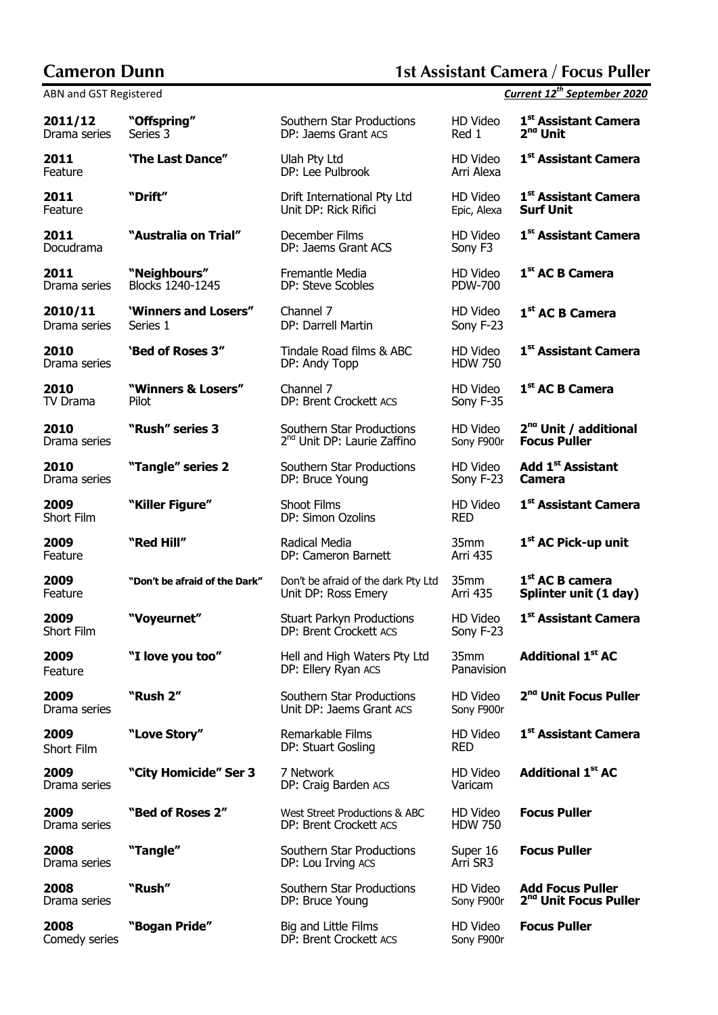## **Cameron Dunn 1st Assistant Camera / Focus Puller**

|                         | ADIY and OST RESISTERED<br><u>Carlent 12 September 2020</u> |                                                                      |                            |                                                              |  |  |
|-------------------------|-------------------------------------------------------------|----------------------------------------------------------------------|----------------------------|--------------------------------------------------------------|--|--|
| 2011/12<br>Drama series | "Offspring"<br>Series 3                                     | Southern Star Productions<br>DP: Jaems Grant ACS                     | HD Video<br>Red 1          | 1st Assistant Camera<br>2 <sup>nd</sup> Unit                 |  |  |
| 2011<br>Feature         | 'The Last Dance"                                            | Ulah Pty Ltd<br>DP: Lee Pulbrook                                     | HD Video<br>Arri Alexa     | 1st Assistant Camera                                         |  |  |
| 2011<br>Feature         | "Drift"                                                     | Drift International Pty Ltd<br>Unit DP: Rick Rifici                  | HD Video<br>Epic, Alexa    | 1st Assistant Camera<br><b>Surf Unit</b>                     |  |  |
| 2011<br>Docudrama       | "Australia on Trial"                                        | December Films<br>DP: Jaems Grant ACS                                | HD Video<br>Sony F3        | 1 <sup>st</sup> Assistant Camera                             |  |  |
| 2011<br>Drama series    | "Neighbours"<br>Blocks 1240-1245                            | Fremantle Media<br>DP: Steve Scobles                                 | HD Video<br><b>PDW-700</b> | 1 <sup>st</sup> AC B Camera                                  |  |  |
| 2010/11<br>Drama series | 'Winners and Losers"<br>Series 1                            | Channel 7<br>DP: Darrell Martin                                      | HD Video<br>Sony F-23      | 1 <sup>st</sup> AC B Camera                                  |  |  |
| 2010<br>Drama series    | 'Bed of Roses 3"                                            | Tindale Road films & ABC<br>DP: Andy Topp                            | HD Video<br><b>HDW 750</b> | 1 <sup>st</sup> Assistant Camera                             |  |  |
| 2010<br>TV Drama        | "Winners & Losers"<br>Pilot                                 | Channel 7<br>DP: Brent Crockett ACS                                  | HD Video<br>Sony F-35      | 1 <sup>st</sup> AC B Camera                                  |  |  |
| 2010<br>Drama series    | "Rush" series 3                                             | Southern Star Productions<br>2 <sup>nd</sup> Unit DP: Laurie Zaffino | HD Video<br>Sony F900r     | 2 <sup>nd</sup> Unit / additional<br><b>Focus Puller</b>     |  |  |
| 2010<br>Drama series    | "Tangle" series 2                                           | Southern Star Productions<br>DP: Bruce Young                         | HD Video<br>Sony F-23      | Add 1 <sup>st</sup> Assistant<br>Camera                      |  |  |
| 2009<br>Short Film      | "Killer Figure"                                             | Shoot Films<br>DP: Simon Ozolins                                     | HD Video<br><b>RED</b>     | 1 <sup>st</sup> Assistant Camera                             |  |  |
| 2009<br>Feature         | "Red Hill"                                                  | Radical Media<br>DP: Cameron Barnett                                 | 35mm<br>Arri 435           | 1 <sup>st</sup> AC Pick-up unit                              |  |  |
| 2009<br>Feature         | "Don't be afraid of the Dark"                               | Don't be afraid of the dark Pty Ltd<br>Unit DP: Ross Emery           | 35mm<br>Arri 435           | $1st$ AC B camera<br>Splinter unit (1 day)                   |  |  |
| 2009<br>Short Film      | "Voyeurnet"                                                 | <b>Stuart Parkyn Productions</b><br>DP: Brent Crockett ACS           | HD Video<br>Sony F-23      | 1st Assistant Camera                                         |  |  |
| 2009<br>Feature         | "I love you too"                                            | Hell and High Waters Pty Ltd<br>DP: Ellery Ryan ACS                  | 35mm<br>Panavision         | <b>Additional 1st AC</b>                                     |  |  |
| 2009<br>Drama series    | "Rush 2"                                                    | Southern Star Productions<br>Unit DP: Jaems Grant ACS                | HD Video<br>Sony F900r     | 2 <sup>nd</sup> Unit Focus Puller                            |  |  |
| 2009<br>Short Film      | "Love Story"                                                | Remarkable Films<br>DP: Stuart Gosling                               | HD Video<br><b>RED</b>     | 1 <sup>st</sup> Assistant Camera                             |  |  |
| 2009<br>Drama series    | "City Homicide" Ser 3                                       | 7 Network<br>DP: Craig Barden ACS                                    | HD Video<br>Varicam        | <b>Additional 1st AC</b>                                     |  |  |
| 2009<br>Drama series    | "Bed of Roses 2"                                            | West Street Productions & ABC<br>DP: Brent Crockett ACS              | HD Video<br><b>HDW 750</b> | <b>Focus Puller</b>                                          |  |  |
| 2008<br>Drama series    | "Tangle"                                                    | Southern Star Productions<br>DP: Lou Irving ACS                      | Super 16<br>Arri SR3       | <b>Focus Puller</b>                                          |  |  |
| 2008<br>Drama series    | "Rush"                                                      | Southern Star Productions<br>DP: Bruce Young                         | HD Video<br>Sony F900r     | <b>Add Focus Puller</b><br>2 <sup>nd</sup> Unit Focus Puller |  |  |
| 2008<br>Comedy series   | "Bogan Pride"                                               | Big and Little Films<br>DP: Brent Crockett ACS                       | HD Video<br>Sony F900r     | <b>Focus Puller</b>                                          |  |  |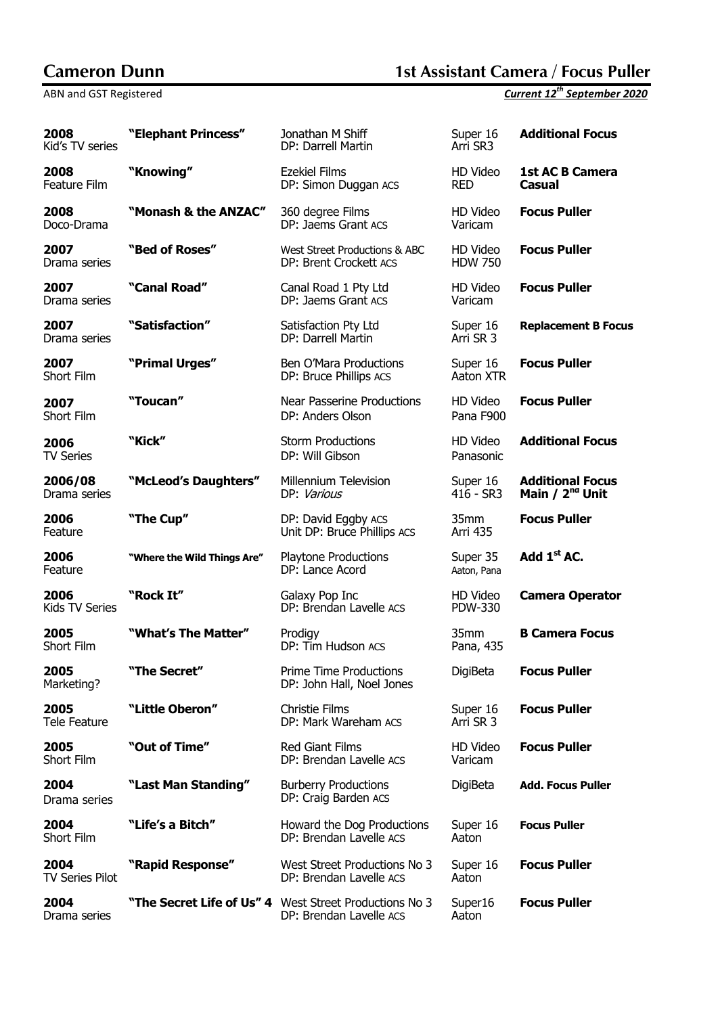# **Cameron Dunn 1st Assistant Camera / Focus Puller**

| 2008<br>Kid's TV series        | "Elephant Princess"         | Jonathan M Shiff<br>Super 16<br>Arri SR3<br>DP: Darrell Martin                        |                            | <b>Additional Focus</b>                                |
|--------------------------------|-----------------------------|---------------------------------------------------------------------------------------|----------------------------|--------------------------------------------------------|
| 2008<br>Feature Film           | "Knowing"                   | <b>Ezekiel Films</b><br>DP: Simon Duggan ACS                                          | HD Video<br><b>RED</b>     | <b>1st AC B Camera</b><br><b>Casual</b>                |
| 2008<br>Doco-Drama             | "Monash & the ANZAC"        | 360 degree Films<br>DP: Jaems Grant ACS                                               | HD Video<br>Varicam        | <b>Focus Puller</b>                                    |
| 2007<br>Drama series           | "Bed of Roses"              | HD Video<br>West Street Productions & ABC<br><b>HDW 750</b><br>DP: Brent Crockett ACS |                            | <b>Focus Puller</b>                                    |
| 2007<br>Drama series           | "Canal Road"                | HD Video<br>Canal Road 1 Pty Ltd<br>DP: Jaems Grant ACS<br>Varicam                    |                            | <b>Focus Puller</b>                                    |
| 2007<br>Drama series           | "Satisfaction"              | Satisfaction Pty Ltd<br>Super 16<br>Arri SR 3<br>DP: Darrell Martin                   |                            | <b>Replacement B Focus</b>                             |
| 2007<br>Short Film             | "Primal Urges"              | Ben O'Mara Productions<br>DP: Bruce Phillips ACS                                      | Super 16<br>Aaton XTR      | <b>Focus Puller</b>                                    |
| 2007<br>Short Film             | "Toucan"                    | <b>Near Passerine Productions</b><br>DP: Anders Olson                                 | HD Video<br>Pana F900      | <b>Focus Puller</b>                                    |
| 2006<br>TV Series              | "Kick"                      | <b>Storm Productions</b><br>DP: Will Gibson                                           | HD Video<br>Panasonic      | <b>Additional Focus</b>                                |
| 2006/08<br>Drama series        | "McLeod's Daughters"        | Millennium Television<br>DP: Various                                                  | Super 16<br>$416 - SR3$    | <b>Additional Focus</b><br>Main / 2 <sup>nd</sup> Unit |
| 2006<br>Feature                | "The Cup"                   | DP: David Eggby ACS<br>Unit DP: Bruce Phillips ACS                                    | 35mm<br><b>Arri 435</b>    | <b>Focus Puller</b>                                    |
| 2006<br>Feature                | "Where the Wild Things Are" | <b>Playtone Productions</b><br>DP: Lance Acord                                        | Super 35<br>Aaton, Pana    | Add 1 <sup>st</sup> AC.                                |
| 2006<br>Kids TV Series         | "Rock It"                   | Galaxy Pop Inc<br>DP: Brendan Lavelle ACS                                             | HD Video<br><b>PDW-330</b> | <b>Camera Operator</b>                                 |
| 2005<br>Short Film             | "What's The Matter"         | Prodigy<br>DP: Tim Hudson ACS                                                         | 35mm<br>Pana, 435          | <b>B Camera Focus</b>                                  |
| 2005<br>Marketing?             | "The Secret"                | <b>Prime Time Productions</b><br>DP: John Hall, Noel Jones                            | DigiBeta                   | <b>Focus Puller</b>                                    |
| 2005<br>Tele Feature           | "Little Oberon"             | <b>Christie Films</b><br>DP: Mark Wareham ACS                                         | Super 16<br>Arri SR 3      | <b>Focus Puller</b>                                    |
| 2005<br>Short Film             | "Out of Time"               | <b>Red Giant Films</b><br>DP: Brendan Lavelle ACS                                     | HD Video<br>Varicam        | <b>Focus Puller</b>                                    |
| 2004<br>Drama series           | "Last Man Standing"         | <b>Burberry Productions</b><br>DP: Craig Barden ACS                                   | DigiBeta                   | <b>Add. Focus Puller</b>                               |
| 2004<br>Short Film             | "Life's a Bitch"            | Howard the Dog Productions<br>DP: Brendan Lavelle ACS                                 | Super 16<br>Aaton          | <b>Focus Puller</b>                                    |
| 2004<br><b>TV Series Pilot</b> | "Rapid Response"            | West Street Productions No 3<br>DP: Brendan Lavelle ACS                               | Super 16<br>Aaton          | <b>Focus Puller</b>                                    |
| 2004<br>Drama series           |                             | "The Secret Life of Us" 4 West Street Productions No 3<br>DP: Brendan Lavelle ACS     | Super16<br>Aaton           | <b>Focus Puller</b>                                    |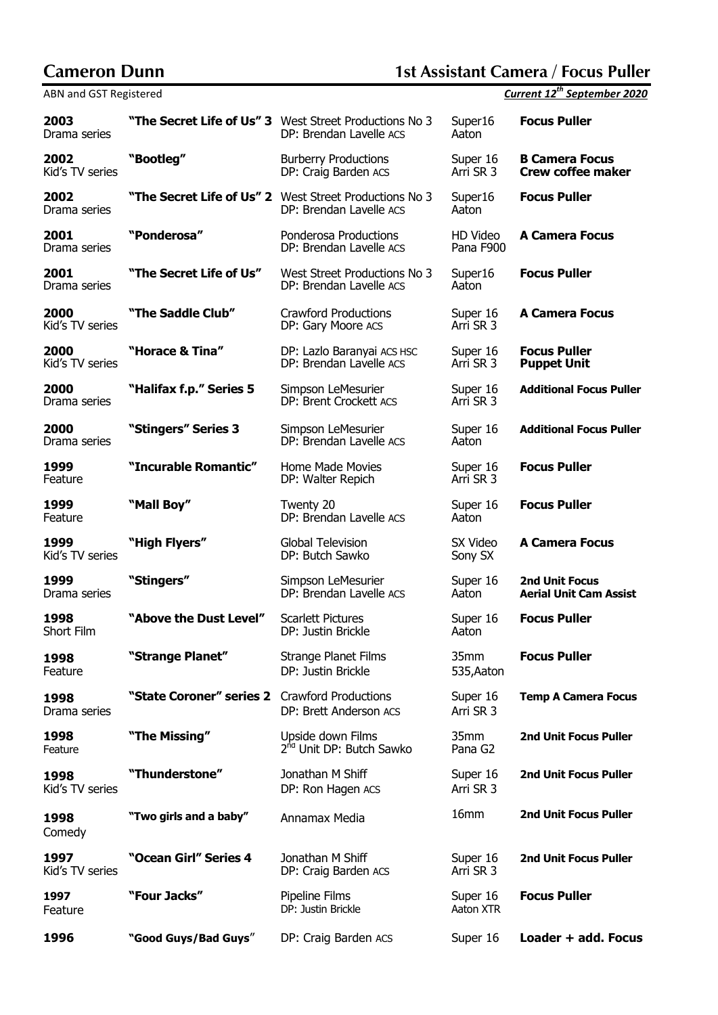# **Cameron Dunn 1st Assistant Camera / Focus Puller**

| 2003<br>Drama series    |                          | "The Secret Life of Us" 3 West Street Productions No 3<br>DP: Brendan Lavelle ACS | Super16<br>Aaton            | <b>Focus Puller</b>                                    |
|-------------------------|--------------------------|-----------------------------------------------------------------------------------|-----------------------------|--------------------------------------------------------|
| 2002<br>Kid's TV series | "Bootleg"                | <b>Burberry Productions</b><br>DP: Craig Barden ACS                               | Super 16<br>Arri SR 3       | <b>B Camera Focus</b><br><b>Crew coffee maker</b>      |
| 2002<br>Drama series    |                          | "The Secret Life of Us" 2 West Street Productions No 3<br>DP: Brendan Lavelle ACS | Super16<br>Aaton            | <b>Focus Puller</b>                                    |
| 2001<br>Drama series    | "Ponderosa"              | Ponderosa Productions<br>DP: Brendan Lavelle ACS                                  | HD Video<br>Pana F900       | <b>A Camera Focus</b>                                  |
| 2001<br>Drama series    | "The Secret Life of Us"  | West Street Productions No 3<br>DP: Brendan Lavelle ACS                           | Super16<br>Aaton            | <b>Focus Puller</b>                                    |
| 2000<br>Kid's TV series | "The Saddle Club"        | <b>Crawford Productions</b><br>DP: Gary Moore ACS                                 | Super 16<br>Arri SR 3       | <b>A Camera Focus</b>                                  |
| 2000<br>Kid's TV series | "Horace & Tina"          | DP: Lazlo Baranyai ACS HSC<br>DP: Brendan Lavelle ACS                             | Super 16<br>Arri SR 3       | <b>Focus Puller</b><br><b>Puppet Unit</b>              |
| 2000<br>Drama series    | "Halifax f.p." Series 5  | Simpson LeMesurier<br>DP: Brent Crockett ACS                                      | Super 16<br>Arri SR 3       | <b>Additional Focus Puller</b>                         |
| 2000<br>Drama series    | "Stingers" Series 3      | Simpson LeMesurier<br>DP: Brendan Lavelle ACS                                     | Super 16<br>Aaton           | <b>Additional Focus Puller</b>                         |
| 1999<br>Feature         | "Incurable Romantic"     | Home Made Movies<br>DP: Walter Repich                                             | Super 16<br>Arri SR 3       | <b>Focus Puller</b>                                    |
| 1999<br>Feature         | "Mall Boy"               | Twenty 20<br>DP: Brendan Lavelle ACS                                              | Super 16<br>Aaton           | <b>Focus Puller</b>                                    |
| 1999<br>Kid's TV series | "High Flyers"            | Global Television<br>DP: Butch Sawko                                              | SX Video<br>Sony SX         | <b>A Camera Focus</b>                                  |
| 1999<br>Drama series    | "Stingers"               | Simpson LeMesurier<br>DP: Brendan Lavelle ACS                                     | Super 16<br>Aaton           | <b>2nd Unit Focus</b><br><b>Aerial Unit Cam Assist</b> |
| 1998<br>Short Film      | "Above the Dust Level"   | <b>Scarlett Pictures</b><br>DP: Justin Brickle                                    | Super 16<br>Aaton           | <b>Focus Puller</b>                                    |
| 1998<br>Feature         | "Strange Planet"         | <b>Strange Planet Films</b><br>DP: Justin Brickle                                 | 35mm<br>535, Aaton          | <b>Focus Puller</b>                                    |
| 1998<br>Drama series    | "State Coroner" series 2 | <b>Crawford Productions</b><br>DP: Brett Anderson ACS                             | Super 16<br>Arri SR 3       | <b>Temp A Camera Focus</b>                             |
| 1998<br>Feature         | "The Missing"            | Upside down Films<br>2 <sup>nd</sup> Unit DP: Butch Sawko                         | 35mm<br>Pana G <sub>2</sub> | <b>2nd Unit Focus Puller</b>                           |
| 1998<br>Kid's TV series | "Thunderstone"           | Jonathan M Shiff<br>DP: Ron Hagen ACS                                             | Super 16<br>Arri SR 3       | <b>2nd Unit Focus Puller</b>                           |
| 1998<br>Comedy          | "Two girls and a baby"   | Annamax Media                                                                     | 16mm                        | <b>2nd Unit Focus Puller</b>                           |
| 1997<br>Kid's TV series | "Ocean Girl" Series 4    | Jonathan M Shiff<br>DP: Craig Barden ACS                                          | Super 16<br>Arri SR 3       | <b>2nd Unit Focus Puller</b>                           |
| 1997<br>Feature         | "Four Jacks"             | Pipeline Films<br>DP: Justin Brickle                                              | Super 16<br>Aaton XTR       | <b>Focus Puller</b>                                    |
| 1996                    | "Good Guys/Bad Guys"     | DP: Craig Barden ACS                                                              | Super 16                    | Loader + add. Focus                                    |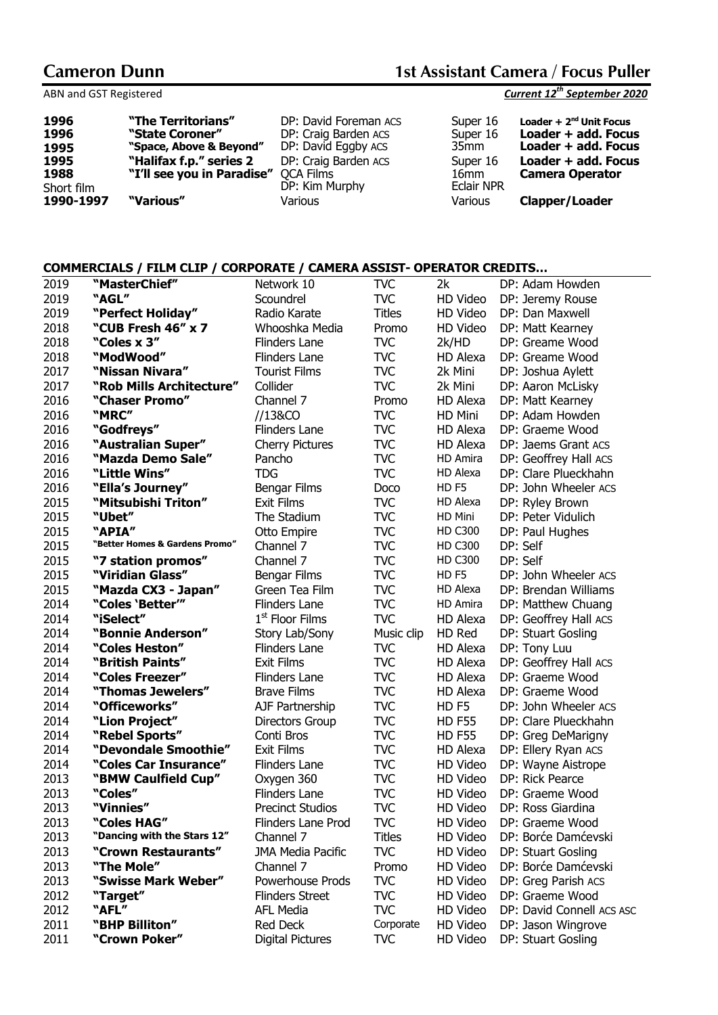| 1996<br>1996 | "The Territorians"<br>"State Coroner" | DP: David Foreman ACS<br>DP: Craig Barden ACS | Super 16<br>Super 16 | Loader + $2nd$ Unit Focus<br>Loader + add. Focus |
|--------------|---------------------------------------|-----------------------------------------------|----------------------|--------------------------------------------------|
| 1995         | "Space, Above & Beyond"               | DP: David Eggby ACS                           | 35mm                 | Loader + add. Focus                              |
| 1995         | "Halifax f.p." series 2               | DP: Craig Barden ACS                          | Super 16             | Loader + add. Focus                              |
| 1988         | "I'll see you in Paradise" QCA Films  |                                               | 16mm                 | <b>Camera Operator</b>                           |
| Short film   |                                       | DP: Kim Murphy                                | <b>Eclair NPR</b>    |                                                  |
| 1990-1997    | "Various"                             | Various                                       | Various              | <b>Clapper/Loader</b>                            |

### **COMMERCIALS / FILM CLIP / CORPORATE / CAMERA ASSIST- OPERATOR CREDITS…**

| 2019 | "MasterChief"                  | Network 10              | <b>TVC</b>    | 2k               | DP: Adam Howden           |
|------|--------------------------------|-------------------------|---------------|------------------|---------------------------|
| 2019 | "AGL"                          | Scoundrel               | <b>TVC</b>    | HD Video         | DP: Jeremy Rouse          |
| 2019 | "Perfect Holiday"              | Radio Karate            | <b>Titles</b> | HD Video         | DP: Dan Maxwell           |
| 2018 | "CUB Fresh 46" x 7             | Whooshka Media          | Promo         | HD Video         | DP: Matt Kearney          |
| 2018 | "Coles x 3"                    | Flinders Lane           | <b>TVC</b>    | 2k/HD            | DP: Greame Wood           |
| 2018 | "ModWood"                      | Flinders Lane           | TVC           | HD Alexa         | DP: Greame Wood           |
| 2017 | "Nissan Nivara"                | <b>Tourist Films</b>    | <b>TVC</b>    | 2k Mini          | DP: Joshua Aylett         |
| 2017 | "Rob Mills Architecture"       | Collider                | <b>TVC</b>    | 2k Mini          | DP: Aaron McLisky         |
| 2016 | "Chaser Promo"                 | Channel 7               | Promo         | HD Alexa         | DP: Matt Kearney          |
| 2016 | "MRC"                          | //13&CO                 | <b>TVC</b>    | HD Mini          | DP: Adam Howden           |
| 2016 | "Godfreys"                     | Flinders Lane           | <b>TVC</b>    | HD Alexa         | DP: Graeme Wood           |
| 2016 | "Australian Super"             | <b>Cherry Pictures</b>  | <b>TVC</b>    | HD Alexa         | DP: Jaems Grant ACS       |
| 2016 | "Mazda Demo Sale"              | Pancho                  | <b>TVC</b>    | HD Amira         | DP: Geoffrey Hall ACS     |
| 2016 | "Little Wins"                  | <b>TDG</b>              | <b>TVC</b>    | HD Alexa         | DP: Clare Plueckhahn      |
| 2016 | "Ella's Journey"               | Bengar Films            | Doco          | HD <sub>F5</sub> | DP: John Wheeler ACS      |
| 2015 | "Mitsubishi Triton"            | <b>Exit Films</b>       | <b>TVC</b>    | HD Alexa         | DP: Ryley Brown           |
| 2015 | "Ubet"                         | The Stadium             | <b>TVC</b>    | HD Mini          | DP: Peter Vidulich        |
| 2015 | "APIA"                         | Otto Empire             | <b>TVC</b>    | <b>HD C300</b>   | DP: Paul Hughes           |
| 2015 | "Better Homes & Gardens Promo" | Channel 7               | <b>TVC</b>    | <b>HD C300</b>   | DP: Self                  |
| 2015 | "7 station promos"             | Channel 7               | <b>TVC</b>    | <b>HD C300</b>   | DP: Self                  |
| 2015 | "Viridian Glass"               | Bengar Films            | <b>TVC</b>    | HD <sub>F5</sub> | DP: John Wheeler ACS      |
| 2015 | "Mazda CX3 - Japan"            | Green Tea Film          | <b>TVC</b>    | HD Alexa         | DP: Brendan Williams      |
| 2014 | "Coles 'Better"                | Flinders Lane           | <b>TVC</b>    | HD Amira         | DP: Matthew Chuang        |
| 2014 | "iSelect"                      | $1st$ Floor Films       | <b>TVC</b>    | HD Alexa         | DP: Geoffrey Hall ACS     |
| 2014 | "Bonnie Anderson"              | Story Lab/Sony          | Music clip    | HD Red           | DP: Stuart Gosling        |
| 2014 | "Coles Heston"                 | Flinders Lane           | <b>TVC</b>    | HD Alexa         | DP: Tony Luu              |
| 2014 | "British Paints"               | <b>Exit Films</b>       | <b>TVC</b>    | HD Alexa         | DP: Geoffrey Hall ACS     |
| 2014 | "Coles Freezer"                | Flinders Lane           | <b>TVC</b>    | HD Alexa         | DP: Graeme Wood           |
| 2014 | "Thomas Jewelers"              | <b>Brave Films</b>      | <b>TVC</b>    | HD Alexa         | DP: Graeme Wood           |
| 2014 | "Officeworks"                  | AJF Partnership         | <b>TVC</b>    | HD <sub>F5</sub> | DP: John Wheeler ACS      |
| 2014 | "Lion Project"                 | <b>Directors Group</b>  | <b>TVC</b>    | <b>HD F55</b>    | DP: Clare Plueckhahn      |
| 2014 | "Rebel Sports"                 | Conti Bros              | <b>TVC</b>    | <b>HD F55</b>    | DP: Greg DeMarigny        |
| 2014 | "Devondale Smoothie"           | <b>Exit Films</b>       | <b>TVC</b>    | HD Alexa         | DP: Ellery Ryan ACS       |
| 2014 | "Coles Car Insurance"          | Flinders Lane           | <b>TVC</b>    | HD Video         | DP: Wayne Aistrope        |
| 2013 | "BMW Caulfield Cup"            | Oxygen 360              | <b>TVC</b>    | HD Video         | DP: Rick Pearce           |
| 2013 | "Coles"                        | Flinders Lane           | <b>TVC</b>    | HD Video         | DP: Graeme Wood           |
| 2013 | "Vinnies"                      | <b>Precinct Studios</b> | <b>TVC</b>    | HD Video         | DP: Ross Giardina         |
| 2013 | "Coles HAG"                    | Flinders Lane Prod      | <b>TVC</b>    | HD Video         | DP: Graeme Wood           |
| 2013 | "Dancing with the Stars 12"    | Channel 7               | <b>Titles</b> | HD Video         | DP: Borće Damćevski       |
| 2013 | "Crown Restaurants"            | JMA Media Pacific       | <b>TVC</b>    | HD Video         | DP: Stuart Gosling        |
| 2013 | "The Mole"                     | Channel 7               | Promo         | HD Video         | DP: Borće Damćevski       |
| 2013 | "Swisse Mark Weber"            | Powerhouse Prods        | <b>TVC</b>    | HD Video         | DP: Greg Parish ACS       |
| 2012 | "Target"                       | <b>Flinders Street</b>  | <b>TVC</b>    | HD Video         | DP: Graeme Wood           |
| 2012 | "AFL"                          | <b>AFL Media</b>        | <b>TVC</b>    | HD Video         | DP: David Connell ACS ASC |
| 2011 | "BHP Billiton"                 | Red Deck                | Corporate     | HD Video         | DP: Jason Wingrove        |
| 2011 | "Crown Poker"                  | Digital Pictures        | <b>TVC</b>    | HD Video         | DP: Stuart Gosling        |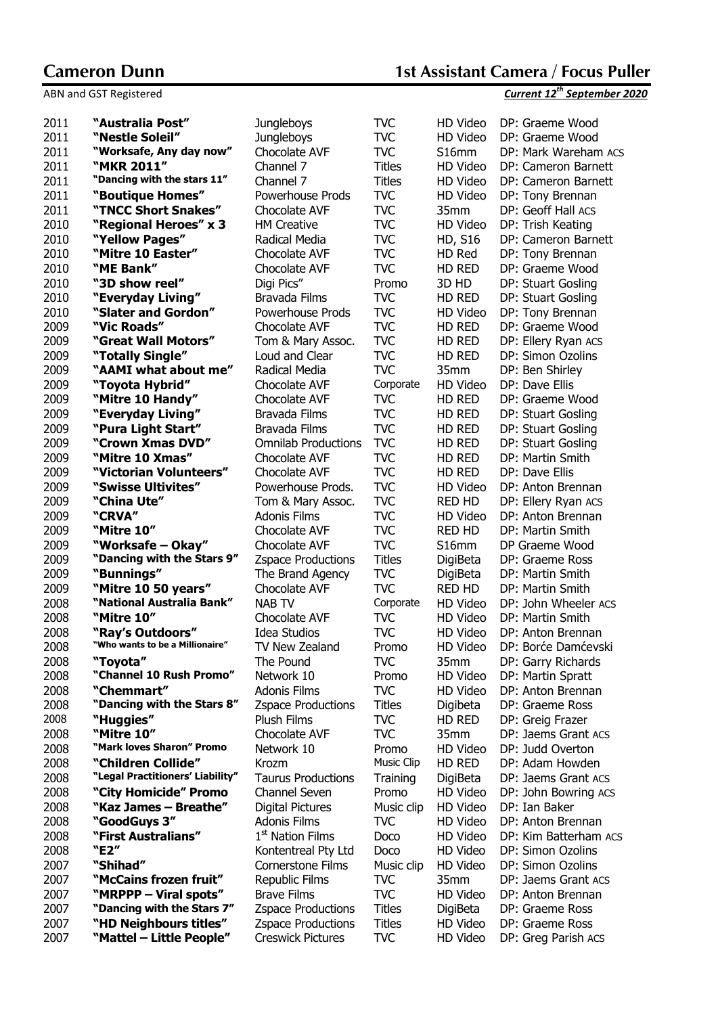| 2011 | "Australia Post"                 | <b>Jungleboys</b>            | <b>TVC</b>    | HD Video       | DP: Graeme Wood       |
|------|----------------------------------|------------------------------|---------------|----------------|-----------------------|
| 2011 | "Nestle Soleil"                  | Jungleboys                   | TVC           | HD Video       | DP: Graeme Wood       |
| 2011 | "Worksafe, Any day now"          | Chocolate AVF                | <b>TVC</b>    | S16mm          | DP: Mark Wareham ACS  |
| 2011 | "MKR 2011"                       | Channel 7                    | <b>Titles</b> | HD Video       | DP: Cameron Barnett   |
| 2011 | "Dancing with the stars 11"      | Channel 7                    | <b>Titles</b> | HD Video       | DP: Cameron Barnett   |
| 2011 | "Boutique Homes"                 | Powerhouse Prods             | TVC           | HD Video       | DP: Tony Brennan      |
| 2011 | "TNCC Short Snakes"              | Chocolate AVF                | TVC           | 35mm           | DP: Geoff Hall ACS    |
| 2010 | "Regional Heroes" x 3            | <b>HM Creative</b>           | TVC           | HD Video       | DP: Trish Keating     |
| 2010 | "Yellow Pages"                   | Radical Media                | <b>TVC</b>    | <b>HD, S16</b> | DP: Cameron Barnett   |
| 2010 | "Mitre 10 Easter"                | Chocolate AVF                | <b>TVC</b>    | HD Red         | DP: Tony Brennan      |
| 2010 | "ME Bank"                        | Chocolate AVF                | <b>TVC</b>    | HD RED         | DP: Graeme Wood       |
| 2010 | "3D show reel"                   | Digi Pics"                   | Promo         | 3D HD          | DP: Stuart Gosling    |
| 2010 | "Everyday Living"                | Bravada Films                | TVC           | HD RED         | DP: Stuart Gosling    |
| 2010 | "Slater and Gordon"              | Powerhouse Prods             | <b>TVC</b>    | HD Video       | DP: Tony Brennan      |
| 2009 | "Vic Roads"                      | Chocolate AVF                | TVC           | HD RED         | DP: Graeme Wood       |
| 2009 | "Great Wall Motors"              | Tom & Mary Assoc.            | <b>TVC</b>    | HD RED         | DP: Ellery Ryan ACS   |
| 2009 | "Totally Single"                 | Loud and Clear               | TVC           | HD RED         | DP: Simon Ozolins     |
| 2009 | "AAMI what about me"             | Radical Media                | TVC           | 35mm           | DP: Ben Shirley       |
| 2009 | "Toyota Hybrid"                  | Chocolate AVF                | Corporate     | HD Video       | DP: Dave Ellis        |
| 2009 | "Mitre 10 Handy"                 | Chocolate AVF                | <b>TVC</b>    | HD RED         | DP: Graeme Wood       |
| 2009 | "Everyday Living"                | Bravada Films                | <b>TVC</b>    | HD RED         | DP: Stuart Gosling    |
| 2009 | "Pura Light Start"               | Bravada Films                | <b>TVC</b>    | HD RED         | DP: Stuart Gosling    |
| 2009 | "Crown Xmas DVD"                 | <b>Omnilab Productions</b>   | <b>TVC</b>    | HD RED         | DP: Stuart Gosling    |
| 2009 | "Mitre 10 Xmas"                  | Chocolate AVF                | <b>TVC</b>    | HD RED         | DP: Martin Smith      |
| 2009 | "Victorian Volunteers"           | Chocolate AVF                | TVC           | HD RED         | DP: Dave Ellis        |
| 2009 | "Swisse Ultivites"               | Powerhouse Prods.            | TVC           | HD Video       | DP: Anton Brennan     |
| 2009 | "China Ute"                      | Tom & Mary Assoc.            | TVC           | <b>RED HD</b>  | DP: Ellery Ryan ACS   |
| 2009 | "CRVA"                           | Adonis Films                 | <b>TVC</b>    | HD Video       | DP: Anton Brennan     |
| 2009 | "Mitre 10"                       | Chocolate AVF                | <b>TVC</b>    | RED HD         | DP: Martin Smith      |
| 2009 | "Worksafe – Okay"                | Chocolate AVF                | <b>TVC</b>    | S16mm          | DP Graeme Wood        |
| 2009 | "Dancing with the Stars 9"       | <b>Zspace Productions</b>    | <b>Titles</b> | DigiBeta       | DP: Graeme Ross       |
| 2009 | "Bunnings"                       | The Brand Agency             | TVC           | DigiBeta       | DP: Martin Smith      |
| 2009 | "Mitre 10 50 years"              | Chocolate AVF                | TVC           | RED HD         | DP: Martin Smith      |
| 2008 | "National Australia Bank"        | <b>NAB TV</b>                | Corporate     | HD Video       | DP: John Wheeler ACS  |
| 2008 | "Mitre 10"                       | Chocolate AVF                | TVC           | HD Video       | DP: Martin Smith      |
| 2008 | "Ray's Outdoors"                 | Idea Studios                 | TVC           | HD Video       | DP: Anton Brennan     |
| 2008 | "Who wants to be a Millionaire"  | TV New Zealand               | Promo         | HD Video       | DP: Borće Damćevski   |
| 2008 | "Toyota"                         | The Pound                    | TVC           | 35mm           | DP: Garry Richards    |
| 2008 | "Channel 10 Rush Promo"          | Network 10                   | Promo         | HD Video       | DP: Martin Spratt     |
| 2008 | "Chemmart"                       | <b>Adonis Films</b>          | TVC           | HD Video       | DP: Anton Brennan     |
| 2008 | "Dancing with the Stars 8"       | <b>Zspace Productions</b>    | Titles        | Digibeta       | DP: Graeme Ross       |
| 2008 | "Huggies"                        | <b>Plush Films</b>           | TVC           | HD RED         | DP: Greig Frazer      |
| 2008 | "Mitre 10"                       | Chocolate AVF                | TVC           | 35mm           | DP: Jaems Grant ACS   |
| 2008 | "Mark loves Sharon" Promo        | Network 10                   | Promo         | HD Video       | DP: Judd Overton      |
| 2008 | "Children Collide"               | Krozm                        | Music Clip    | HD RED         | DP: Adam Howden       |
| 2008 | "Legal Practitioners' Liability" | <b>Taurus Productions</b>    | Training      | DigiBeta       | DP: Jaems Grant ACS   |
| 2008 | "City Homicide" Promo            | Channel Seven                | Promo         | HD Video       | DP: John Bowring ACS  |
| 2008 | "Kaz James - Breathe"            | Digital Pictures             | Music clip    | HD Video       | DP: Ian Baker         |
| 2008 | "GoodGuys 3"                     | <b>Adonis Films</b>          | TVC           | HD Video       | DP: Anton Brennan     |
| 2008 | "First Australians"              | 1 <sup>st</sup> Nation Films | Doco          | HD Video       | DP: Kim Batterham ACS |
| 2008 | "E2"                             | Kontentreal Pty Ltd          | Doco          | HD Video       | DP: Simon Ozolins     |
| 2007 | "Shihad"                         | Cornerstone Films            | Music clip    | HD Video       | DP: Simon Ozolins     |
| 2007 | "McCains frozen fruit"           | <b>Republic Films</b>        | TVC           | 35mm           | DP: Jaems Grant ACS   |
| 2007 | "MRPPP - Viral spots"            | <b>Brave Films</b>           | <b>TVC</b>    | HD Video       | DP: Anton Brennan     |
| 2007 | "Dancing with the Stars 7"       | <b>Zspace Productions</b>    | <b>Titles</b> | DigiBeta       | DP: Graeme Ross       |
| 2007 | "HD Neighbours titles"           | <b>Zspace Productions</b>    | <b>Titles</b> | HD Video       | DP: Graeme Ross       |
| 2007 | "Mattel - Little People"         | <b>Creswick Pictures</b>     | TVC           | HD Video       | DP: Greg Parish ACS   |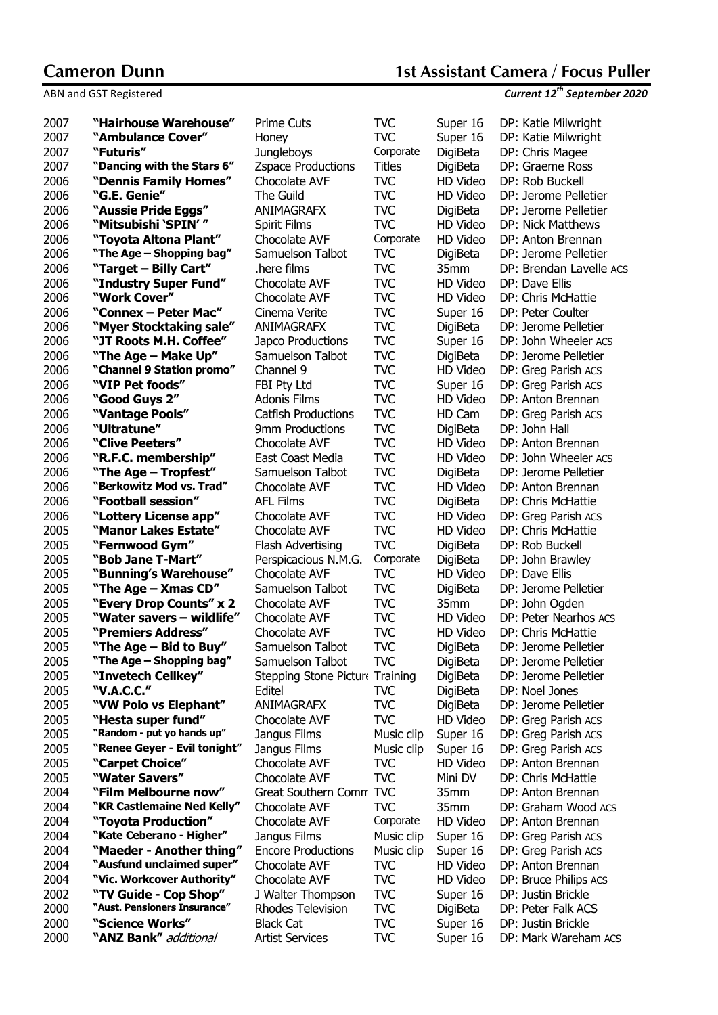| 2007         | "Hairhouse Warehouse"               | Prime Cuts                            | <b>TVC</b>               | Super 16             | DP: Katie Milwright                 |
|--------------|-------------------------------------|---------------------------------------|--------------------------|----------------------|-------------------------------------|
| 2007         | "Ambulance Cover"                   | Honey                                 | <b>TVC</b>               | Super 16             | DP: Katie Milwright                 |
| 2007         | "Futuris"                           | <b>Jungleboys</b>                     | Corporate                | DigiBeta             | DP: Chris Magee                     |
| 2007         | "Dancing with the Stars 6"          | <b>Zspace Productions</b>             | <b>Titles</b>            | DigiBeta             | DP: Graeme Ross                     |
| 2006         | "Dennis Family Homes"               | Chocolate AVF                         | <b>TVC</b>               | HD Video             | DP: Rob Buckell                     |
| 2006         | "G.E. Genie"                        | The Guild                             | <b>TVC</b>               | HD Video             | DP: Jerome Pelletier                |
| 2006         | "Aussie Pride Eggs"                 | ANIMAGRAFX                            | <b>TVC</b>               | DigiBeta             | DP: Jerome Pelletier                |
| 2006         | "Mitsubishi 'SPIN'"                 | Spirit Films                          | <b>TVC</b>               | HD Video             | DP: Nick Matthews                   |
| 2006         | "Toyota Altona Plant"               | Chocolate AVF                         | Corporate                | HD Video             | DP: Anton Brennan                   |
| 2006         | "The Age – Shopping bag"            | Samuelson Talbot                      | <b>TVC</b>               | DigiBeta             | DP: Jerome Pelletier                |
| 2006         | "Target – Billy Cart"               | here films.                           | <b>TVC</b>               | 35mm                 | DP: Brendan Lavelle ACS             |
| 2006         | "Industry Super Fund"               | Chocolate AVF                         | <b>TVC</b>               | HD Video             | DP: Dave Ellis                      |
| 2006         | "Work Cover"                        | Chocolate AVF                         | <b>TVC</b>               | HD Video             | DP: Chris McHattie                  |
| 2006         | "Connex - Peter Mac"                | Cinema Verite                         | <b>TVC</b>               | Super 16             | DP: Peter Coulter                   |
| 2006         | "Myer Stocktaking sale"             | ANIMAGRAFX                            | <b>TVC</b>               | DigiBeta             | DP: Jerome Pelletier                |
| 2006         | "JT Roots M.H. Coffee"              | Japco Productions                     | <b>TVC</b>               | Super 16             | DP: John Wheeler ACS                |
| 2006         | "The Age - Make Up"                 | Samuelson Talbot                      | <b>TVC</b>               | DigiBeta             | DP: Jerome Pelletier                |
| 2006         | "Channel 9 Station promo"           | Channel 9                             | <b>TVC</b>               | HD Video             | DP: Greg Parish ACS                 |
| 2006         | "VIP Pet foods"                     | FBI Pty Ltd                           | <b>TVC</b>               | Super 16             | DP: Greg Parish ACS                 |
| 2006         | "Good Guys 2"                       | Adonis Films                          | <b>TVC</b>               | HD Video             | DP: Anton Brennan                   |
| 2006         | "Vantage Pools"                     | <b>Catfish Productions</b>            | <b>TVC</b>               | HD Cam               | DP: Greg Parish ACS                 |
| 2006         | "Ultratune"                         | 9mm Productions                       | <b>TVC</b>               | <b>DigiBeta</b>      | DP: John Hall                       |
| 2006         | "Clive Peeters"                     | <b>Chocolate AVF</b>                  | <b>TVC</b>               | HD Video             | DP: Anton Brennan                   |
| 2006         | "R.F.C. membership"                 | East Coast Media                      | <b>TVC</b>               | HD Video             | DP: John Wheeler ACS                |
| 2006         | "The Age — Tropfest"                | Samuelson Talbot                      | <b>TVC</b>               | DigiBeta             | DP: Jerome Pelletier                |
| 2006         | "Berkowitz Mod vs. Trad"            | Chocolate AVF                         | <b>TVC</b>               | HD Video             | DP: Anton Brennan                   |
| 2006         | "Football session"                  | <b>AFL Films</b>                      | <b>TVC</b>               | DigiBeta             | DP: Chris McHattie                  |
| 2006         | "Lottery License app"               | Chocolate AVF                         | <b>TVC</b>               | HD Video             | DP: Greg Parish ACS                 |
| 2005         | "Manor Lakes Estate"                | Chocolate AVF                         | <b>TVC</b><br><b>TVC</b> | HD Video             | DP: Chris McHattie                  |
| 2005<br>2005 | "Fernwood Gym"<br>"Bob Jane T-Mart" | Flash Advertising                     | Corporate                | DigiBeta<br>DigiBeta | DP: Rob Buckell<br>DP: John Brawley |
| 2005         | "Bunning's Warehouse"               | Perspicacious N.M.G.<br>Chocolate AVF | <b>TVC</b>               | HD Video             | DP: Dave Ellis                      |
| 2005         | "The Age – Xmas CD"                 | Samuelson Talbot                      | <b>TVC</b>               | DigiBeta             | DP: Jerome Pelletier                |
| 2005         | "Every Drop Counts" x 2             | Chocolate AVF                         | <b>TVC</b>               | 35mm                 | DP: John Ogden                      |
| 2005         | "Water savers - wildlife"           | <b>Chocolate AVF</b>                  | <b>TVC</b>               | HD Video             | DP: Peter Nearhos ACS               |
| 2005         | "Premiers Address"                  | Chocolate AVF                         | <b>TVC</b>               | HD Video             | DP: Chris McHattie                  |
| 2005         | "The Age - Bid to Buy"              | Samuelson Talbot                      | <b>TVC</b>               | DigiBeta             | DP: Jerome Pelletier                |
| 2005         | "The Age - Shopping bag"            | Samuelson Talbot                      | <b>TVC</b>               | DigiBeta             | DP: Jerome Pelletier                |
| 2005         | "Invetech Cellkey"                  | Stepping Stone Pictur Training        |                          | DigiBeta             | DP: Jerome Pelletier                |
| 2005         | "V.A.C.C."                          | Editel                                | <b>TVC</b>               | DigiBeta             | DP: Noel Jones                      |
| 2005         | "VW Polo vs Elephant"               | <b>ANIMAGRAFX</b>                     | <b>TVC</b>               | DigiBeta             | DP: Jerome Pelletier                |
| 2005         | "Hesta super fund"                  | Chocolate AVF                         | <b>TVC</b>               | HD Video             | DP: Greg Parish ACS                 |
| 2005         | "Random - put yo hands up"          | Jangus Films                          | Music clip               | Super 16             | DP: Greg Parish ACS                 |
| 2005         | "Renee Geyer - Evil tonight"        | Jangus Films                          | Music clip               | Super 16             | DP: Greg Parish ACS                 |
| 2005         | "Carpet Choice"                     | Chocolate AVF                         | <b>TVC</b>               | HD Video             | DP: Anton Brennan                   |
| 2005         | "Water Savers"                      | Chocolate AVF                         | <b>TVC</b>               | Mini DV              | DP: Chris McHattie                  |
| 2004         | "Film Melbourne now"                | Great Southern Comm                   | <b>TVC</b>               | 35mm                 | DP: Anton Brennan                   |
| 2004         | "KR Castlemaine Ned Kelly"          | Chocolate AVF                         | <b>TVC</b>               | 35mm                 | DP: Graham Wood ACS                 |
| 2004         | "Toyota Production"                 | Chocolate AVF                         | Corporate                | HD Video             | DP: Anton Brennan                   |
| 2004         | "Kate Ceberano - Higher"            | Jangus Films                          | Music clip               | Super 16             | DP: Greg Parish ACS                 |
| 2004         | "Maeder - Another thing"            | <b>Encore Productions</b>             | Music clip               | Super 16             | DP: Greg Parish ACS                 |
| 2004         | "Ausfund unclaimed super"           | Chocolate AVF                         | <b>TVC</b>               | HD Video             | DP: Anton Brennan                   |
| 2004         | "Vic. Workcover Authority"          | Chocolate AVF                         | <b>TVC</b>               | HD Video             | DP: Bruce Philips ACS               |
| 2002         | "TV Guide - Cop Shop"               | J Walter Thompson                     | <b>TVC</b>               | Super 16             | DP: Justin Brickle                  |
| 2000         | "Aust. Pensioners Insurance"        | Rhodes Television                     | <b>TVC</b>               | DigiBeta             | DP: Peter Falk ACS                  |
| 2000         | "Science Works"                     | <b>Black Cat</b>                      | <b>TVC</b>               | Super 16             | DP: Justin Brickle                  |
| 2000         | "ANZ Bank" additional               | <b>Artist Services</b>                | <b>TVC</b>               | Super 16             | DP: Mark Wareham ACS                |